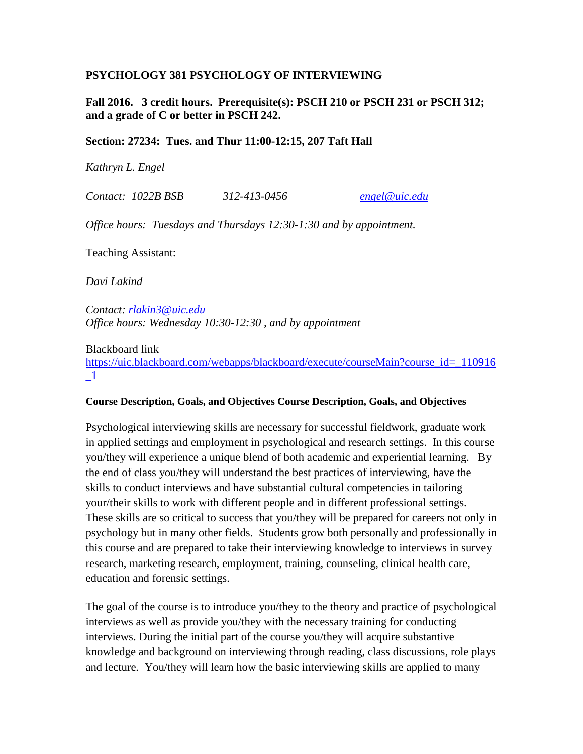#### **PSYCHOLOGY 381 PSYCHOLOGY OF INTERVIEWING**

**Fall 2016. 3 credit hours. Prerequisite(s): PSCH 210 or PSCH 231 or PSCH 312; and a grade of C or better in PSCH 242.** 

#### **Section: 27234: Tues. and Thur 11:00-12:15, 207 Taft Hall**

*Kathryn L. Engel* 

*Contact: 1022B BSB 312-413-0456 [engel@uic.edu](mailto:engel@uic.edu)*

*Office hours: Tuesdays and Thursdays 12:30-1:30 and by appointment.*

Teaching Assistant:

*Davi Lakind*

*Contact: [rlakin3@uic.edu](mailto:rlakin3@uic.edu) Office hours: Wednesday 10:30-12:30 , and by appointment*

Blackboard link

[https://uic.blackboard.com/webapps/blackboard/execute/courseMain?course\\_id=\\_110916](https://uic.blackboard.com/webapps/blackboard/execute/courseMain?course_id=_110916_1)  $\mathbf{-1}$ 

#### **Course Description, Goals, and Objectives Course Description, Goals, and Objectives**

Psychological interviewing skills are necessary for successful fieldwork, graduate work in applied settings and employment in psychological and research settings. In this course you/they will experience a unique blend of both academic and experiential learning. By the end of class you/they will understand the best practices of interviewing, have the skills to conduct interviews and have substantial cultural competencies in tailoring your/their skills to work with different people and in different professional settings. These skills are so critical to success that you/they will be prepared for careers not only in psychology but in many other fields. Students grow both personally and professionally in this course and are prepared to take their interviewing knowledge to interviews in survey research, marketing research, employment, training, counseling, clinical health care, education and forensic settings.

The goal of the course is to introduce you/they to the theory and practice of psychological interviews as well as provide you/they with the necessary training for conducting interviews. During the initial part of the course you/they will acquire substantive knowledge and background on interviewing through reading, class discussions, role plays and lecture. You/they will learn how the basic interviewing skills are applied to many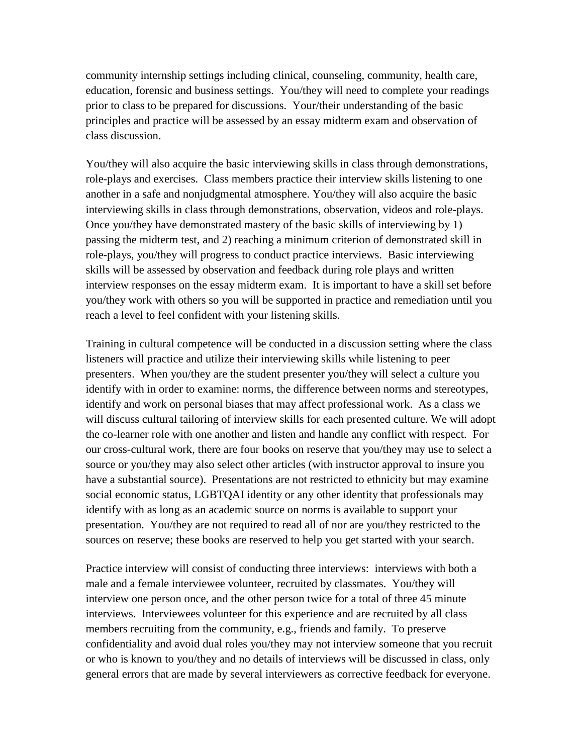community internship settings including clinical, counseling, community, health care, education, forensic and business settings. You/they will need to complete your readings prior to class to be prepared for discussions. Your/their understanding of the basic principles and practice will be assessed by an essay midterm exam and observation of class discussion.

You/they will also acquire the basic interviewing skills in class through demonstrations, role-plays and exercises. Class members practice their interview skills listening to one another in a safe and nonjudgmental atmosphere. You/they will also acquire the basic interviewing skills in class through demonstrations, observation, videos and role-plays. Once you/they have demonstrated mastery of the basic skills of interviewing by 1) passing the midterm test, and 2) reaching a minimum criterion of demonstrated skill in role-plays, you/they will progress to conduct practice interviews. Basic interviewing skills will be assessed by observation and feedback during role plays and written interview responses on the essay midterm exam. It is important to have a skill set before you/they work with others so you will be supported in practice and remediation until you reach a level to feel confident with your listening skills.

Training in cultural competence will be conducted in a discussion setting where the class listeners will practice and utilize their interviewing skills while listening to peer presenters. When you/they are the student presenter you/they will select a culture you identify with in order to examine: norms, the difference between norms and stereotypes, identify and work on personal biases that may affect professional work. As a class we will discuss cultural tailoring of interview skills for each presented culture. We will adopt the co-learner role with one another and listen and handle any conflict with respect. For our cross-cultural work, there are four books on reserve that you/they may use to select a source or you/they may also select other articles (with instructor approval to insure you have a substantial source). Presentations are not restricted to ethnicity but may examine social economic status, LGBTQAI identity or any other identity that professionals may identify with as long as an academic source on norms is available to support your presentation. You/they are not required to read all of nor are you/they restricted to the sources on reserve; these books are reserved to help you get started with your search.

Practice interview will consist of conducting three interviews: interviews with both a male and a female interviewee volunteer, recruited by classmates. You/they will interview one person once, and the other person twice for a total of three 45 minute interviews. Interviewees volunteer for this experience and are recruited by all class members recruiting from the community, e.g., friends and family. To preserve confidentiality and avoid dual roles you/they may not interview someone that you recruit or who is known to you/they and no details of interviews will be discussed in class, only general errors that are made by several interviewers as corrective feedback for everyone.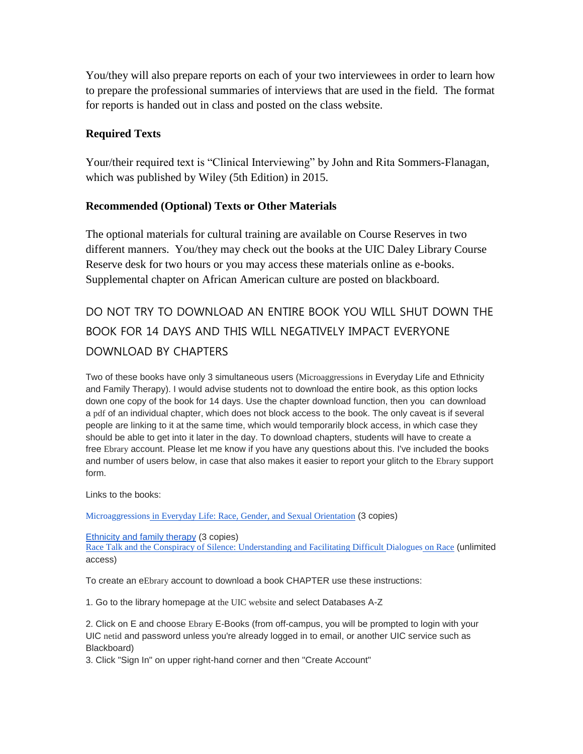You/they will also prepare reports on each of your two interviewees in order to learn how to prepare the professional summaries of interviews that are used in the field. The format for reports is handed out in class and posted on the class website.

### **Required Texts**

Your/their required text is "Clinical Interviewing" by John and Rita Sommers-Flanagan, which was published by Wiley (5th Edition) in 2015.

### **Recommended (Optional) Texts or Other Materials**

The optional materials for cultural training are available on Course Reserves in two different manners. You/they may check out the books at the UIC Daley Library Course Reserve desk for two hours or you may access these materials online as e-books. Supplemental chapter on African American culture are posted on blackboard.

# DO NOT TRY TO DOWNLOAD AN ENTIRE BOOK YOU WILL SHUT DOWN THE BOOK FOR 14 DAYS AND THIS WILL NEGATIVELY IMPACT EVERYONE DOWNLOAD BY CHAPTERS

Two of these books have only 3 simultaneous users (Microaggressions in Everyday Life and Ethnicity and Family Therapy). I would advise students not to download the entire book, as this option locks down one copy of the book for 14 days. Use the chapter download function, then you can download a pdf of an individual chapter, which does not block access to the book. The only caveat is if several people are linking to it at the same time, which would temporarily block access, in which case they should be able to get into it later in the day. To download chapters, students will have to create a free Ebrary account. Please let me know if you have any questions about this. I've included the books and number of users below, in case that also makes it easier to report your glitch to the Ebrary support form.

Links to the books:

[Microaggressions](http://site.ebrary.com.proxy.cc.uic.edu/lib/uic/detail.action?docID=10366615) in Everyday Life: Race, Gender, and Sexual Orientation (3 copies)

[Ethnicity](http://site.ebrary.com.proxy.cc.uic.edu/lib/uic/detail.action?docID=10468541) and family therapy (3 copies)

Race Talk and the Conspiracy of Silence: [Understanding](http://site.ebrary.com.proxy.cc.uic.edu/lib/uic/detail.action?docID=11007281) and Facilitating Difficult Dialogues on Race (unlimited access)

To create an eEbrary account to download a book CHAPTER use these instructions:

1. Go to the library homepage at the UIC website and select Databases A-Z

2. Click on E and choose Ebrary E-Books (from off-campus, you will be prompted to login with your UIC netid and password unless you're already logged in to email, or another UIC service such as Blackboard)

3. Click "Sign In" on upper right-hand corner and then "Create Account"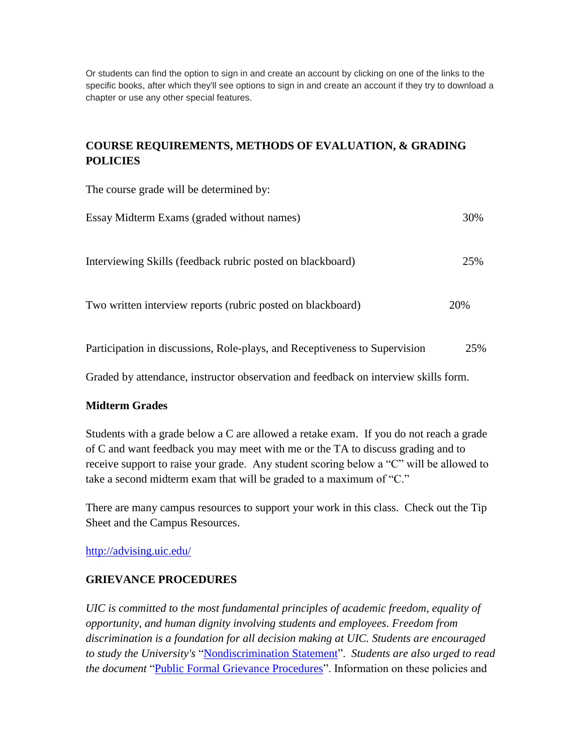Or students can find the option to sign in and create an account by clicking on one of the links to the specific books, after which they'll see options to sign in and create an account if they try to download a chapter or use any other special features.

# **COURSE REQUIREMENTS, METHODS OF EVALUATION, & GRADING POLICIES**

The course grade will be determined by:

| Essay Midterm Exams (graded without names)                  | 30% |
|-------------------------------------------------------------|-----|
| Interviewing Skills (feedback rubric posted on blackboard)  | 25% |
| Two written interview reports (rubric posted on blackboard) | 20% |

Participation in discussions, Role-plays, and Receptiveness to Supervision 25%

Graded by attendance, instructor observation and feedback on interview skills form.

### **Midterm Grades**

Students with a grade below a C are allowed a retake exam. If you do not reach a grade of C and want feedback you may meet with me or the TA to discuss grading and to receive support to raise your grade. Any student scoring below a "C" will be allowed to take a second midterm exam that will be graded to a maximum of "C."

There are many campus resources to support your work in this class. Check out the Tip Sheet and the Campus Resources.

<http://advising.uic.edu/>

#### **GRIEVANCE PROCEDURES**

*UIC is committed to the most fundamental principles of academic freedom, equality of opportunity, and human dignity involving students and employees. Freedom from discrimination is a foundation for all decision making at UIC. Students are encouraged to study the University's* ["Nondiscrimination Statement"](http://www.uic.edu/depts/oar/campus_policies/nondiscrimination_statement.html). *Students are also urged to read the document* ["Public Formal Grievance Procedures"](http://www.uic.edu/depts/oar/campus_policies/public_grievance_procedures.html). Information on these policies and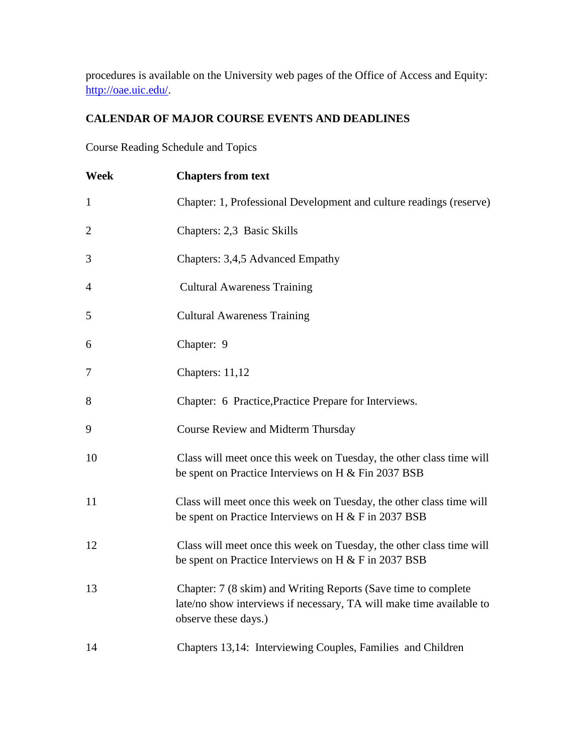procedures is available on the University web pages of the Office of Access and Equity: [http://oae.uic.edu/.](http://oae.uic.edu/)

# **CALENDAR OF MAJOR COURSE EVENTS AND DEADLINES**

Course Reading Schedule and Topics

| Week           | <b>Chapters from text</b>                                                                                                                                      |
|----------------|----------------------------------------------------------------------------------------------------------------------------------------------------------------|
| $\mathbf{1}$   | Chapter: 1, Professional Development and culture readings (reserve)                                                                                            |
| $\overline{2}$ | Chapters: 2,3 Basic Skills                                                                                                                                     |
| 3              | Chapters: 3,4,5 Advanced Empathy                                                                                                                               |
| 4              | <b>Cultural Awareness Training</b>                                                                                                                             |
| 5              | <b>Cultural Awareness Training</b>                                                                                                                             |
| 6              | Chapter: 9                                                                                                                                                     |
| $\overline{7}$ | Chapters: 11,12                                                                                                                                                |
| 8              | Chapter: 6 Practice, Practice Prepare for Interviews.                                                                                                          |
| 9              | Course Review and Midterm Thursday                                                                                                                             |
| 10             | Class will meet once this week on Tuesday, the other class time will<br>be spent on Practice Interviews on H & Fin 2037 BSB                                    |
| 11             | Class will meet once this week on Tuesday, the other class time will<br>be spent on Practice Interviews on H $&$ F in 2037 BSB                                 |
| 12             | Class will meet once this week on Tuesday, the other class time will<br>be spent on Practice Interviews on H $\&$ F in 2037 BSB                                |
| 13             | Chapter: 7 (8 skim) and Writing Reports (Save time to complete<br>late/no show interviews if necessary, TA will make time available to<br>observe these days.) |
| 14             | Chapters 13,14: Interviewing Couples, Families and Children                                                                                                    |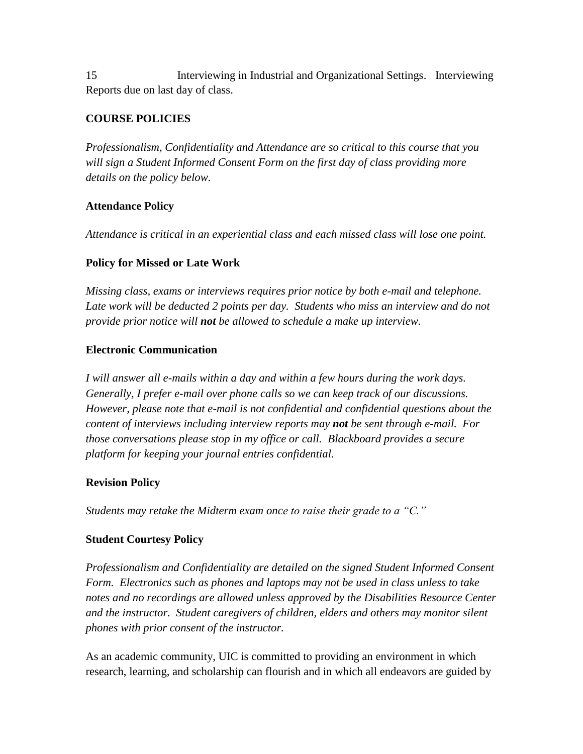15 Interviewing in Industrial and Organizational Settings. Interviewing Reports due on last day of class.

# **COURSE POLICIES**

*Professionalism, Confidentiality and Attendance are so critical to this course that you will sign a Student Informed Consent Form on the first day of class providing more details on the policy below.* 

### **Attendance Policy**

*Attendance is critical in an experiential class and each missed class will lose one point.* 

## **Policy for Missed or Late Work**

*Missing class, exams or interviews requires prior notice by both e-mail and telephone.*  Late work will be deducted 2 points per day. Students who miss an interview and do not *provide prior notice will not be allowed to schedule a make up interview.* 

### **Electronic Communication**

*I will answer all e-mails within a day and within a few hours during the work days. Generally, I prefer e-mail over phone calls so we can keep track of our discussions. However, please note that e-mail is not confidential and confidential questions about the content of interviews including interview reports may not be sent through e-mail. For those conversations please stop in my office or call. Blackboard provides a secure platform for keeping your journal entries confidential.* 

# **Revision Policy**

*Students may retake the Midterm exam once to raise their grade to a "C."* 

# **Student Courtesy Policy**

*Professionalism and Confidentiality are detailed on the signed Student Informed Consent Form. Electronics such as phones and laptops may not be used in class unless to take notes and no recordings are allowed unless approved by the Disabilities Resource Center and the instructor. Student caregivers of children, elders and others may monitor silent phones with prior consent of the instructor.* 

As an academic community, UIC is committed to providing an environment in which research, learning, and scholarship can flourish and in which all endeavors are guided by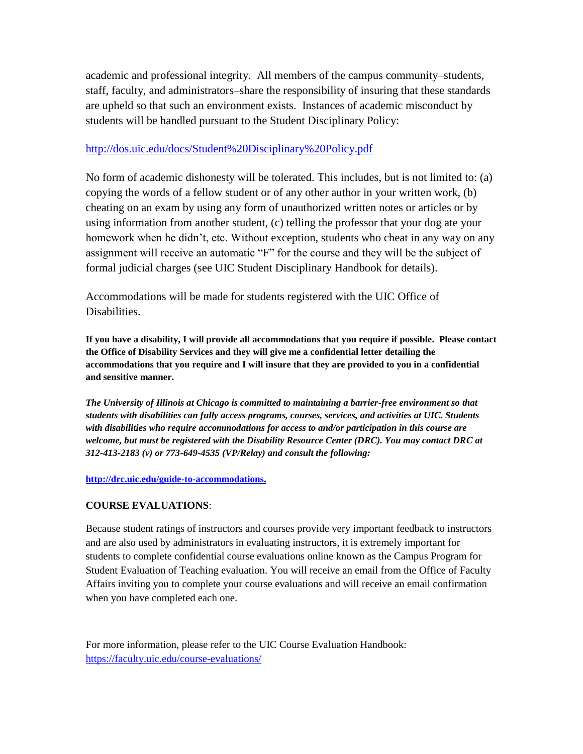academic and professional integrity. All members of the campus community–students, staff, faculty, and administrators–share the responsibility of insuring that these standards are upheld so that such an environment exists. Instances of academic misconduct by students will be handled pursuant to the Student Disciplinary Policy:

#### <http://dos.uic.edu/docs/Student%20Disciplinary%20Policy.pdf>

No form of academic dishonesty will be tolerated. This includes, but is not limited to: (a) copying the words of a fellow student or of any other author in your written work, (b) cheating on an exam by using any form of unauthorized written notes or articles or by using information from another student, (c) telling the professor that your dog ate your homework when he didn't, etc. Without exception, students who cheat in any way on any assignment will receive an automatic "F" for the course and they will be the subject of formal judicial charges (see UIC Student Disciplinary Handbook for details).

Accommodations will be made for students registered with the UIC Office of Disabilities.

**If you have a disability, I will provide all accommodations that you require if possible. Please contact the Office of Disability Services and they will give me a confidential letter detailing the accommodations that you require and I will insure that they are provided to you in a confidential and sensitive manner.** 

*The University of Illinois at Chicago is committed to maintaining a barrier-free environment so that students with disabilities can fully access programs, courses, services, and activities at UIC. Students with disabilities who require accommodations for access to and/or participation in this course are welcome, but must be registered with the Disability Resource Center (DRC). You may contact DRC at 312-413-2183 (v) or 773-649-4535 (VP/Relay) and consult the following:*

**[http://drc.uic.edu/guide-to-accommodations.](http://drc.uic.edu/guide-to-accommodations)** 

#### **COURSE EVALUATIONS**:

Because student ratings of instructors and courses provide very important feedback to instructors and are also used by administrators in evaluating instructors, it is extremely important for students to complete confidential course evaluations online known as the Campus Program for Student Evaluation of Teaching evaluation. You will receive an email from the Office of Faculty Affairs inviting you to complete your course evaluations and will receive an email confirmation when you have completed each one.

For more information, please refer to the UIC Course Evaluation Handbook: <https://faculty.uic.edu/course-evaluations/>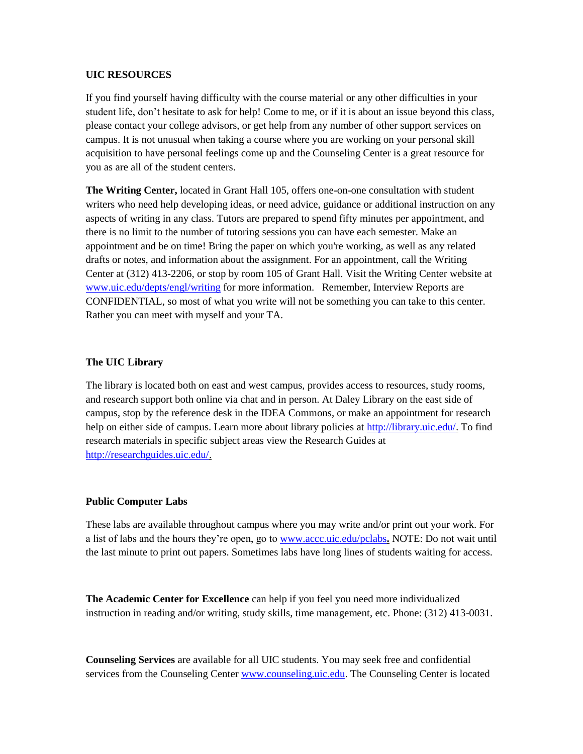#### **UIC RESOURCES**

If you find yourself having difficulty with the course material or any other difficulties in your student life, don't hesitate to ask for help! Come to me, or if it is about an issue beyond this class, please contact your college advisors, or get help from any number of other support services on campus. It is not unusual when taking a course where you are working on your personal skill acquisition to have personal feelings come up and the Counseling Center is a great resource for you as are all of the student centers.

**The Writing Center,** located in Grant Hall 105, offers one-on-one consultation with student writers who need help developing ideas, or need advice, guidance or additional instruction on any aspects of writing in any class. Tutors are prepared to spend fifty minutes per appointment, and there is no limit to the number of tutoring sessions you can have each semester. Make an appointment and be on time! Bring the paper on which you're working, as well as any related drafts or notes, and information about the assignment. For an appointment, call the Writing Center at (312) 413-2206, or stop by room 105 of Grant Hall. Visit the Writing Center website at [www.uic.edu/depts/engl/writing](http://www.uic.edu/depts/engl/writing) for more information. Remember, Interview Reports are CONFIDENTIAL, so most of what you write will not be something you can take to this center. Rather you can meet with myself and your TA.

#### **The UIC Library**

The library is located both on east and west campus, provides access to resources, study rooms, and research support both online via chat and in person. At Daley Library on the east side of campus, stop by the reference desk in the IDEA Commons, or make an appointment for research help on either side of campus. Learn more about library policies at [http://library.uic.edu/.](http://library.uic.edu/) To find research materials in specific subject areas view the Research Guides at [http://researchguides.uic.edu/.](http://researchguides.uic.edu/)

#### **Public Computer Labs**

These labs are available throughout campus where you may write and/or print out your work. For a list of labs and the hours they're open, go to [www.accc.uic.edu/pclabs](http://www.accc.uic.edu/pclabs)**.** NOTE: Do not wait until the last minute to print out papers. Sometimes labs have long lines of students waiting for access.

**The Academic Center for Excellence** can help if you feel you need more individualized instruction in reading and/or writing, study skills, time management, etc. Phone: (312) 413-0031.

**Counseling Services** are available for all UIC students. You may seek free and confidential services from the Counseling Center [www.counseling.uic.edu.](http://www.counseling.uic.edu/) The Counseling Center is located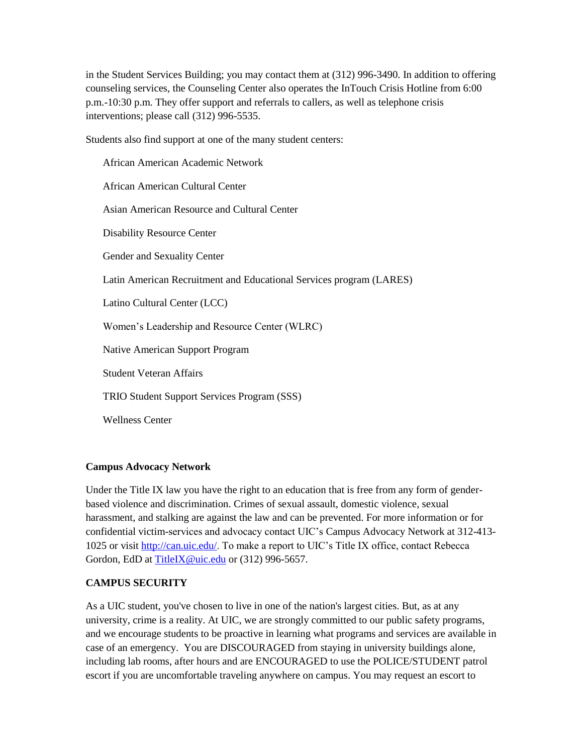in the Student Services Building; you may contact them at (312) 996-3490. In addition to offering counseling services, the Counseling Center also operates the InTouch Crisis Hotline from 6:00 p.m.-10:30 p.m. They offer support and referrals to callers, as well as telephone crisis interventions; please call (312) 996-5535.

Students also find support at one of the many student centers:

African American Academic Network African American Cultural Center Asian American Resource and Cultural Center Disability Resource Center Gender and Sexuality Center Latin American Recruitment and Educational Services program (LARES) Latino Cultural Center (LCC) Women's Leadership and Resource Center (WLRC) Native American Support Program Student Veteran Affairs TRIO Student Support Services Program (SSS) Wellness Center

#### **Campus Advocacy Network**

Under the Title IX law you have the right to an education that is free from any form of genderbased violence and discrimination. Crimes of sexual assault, domestic violence, sexual harassment, and stalking are against the law and can be prevented. For more information or for confidential victim-services and advocacy contact UIC's Campus Advocacy Network at 312-413- 1025 or visit [http://can.uic.edu/.](http://can.uic.edu/) To make a report to UIC's Title IX office, contact Rebecca Gordon, EdD a[t TitleIX@uic.edu](mailto:TitleIX@uic.edu) or (312) 996-5657.

#### **CAMPUS SECURITY**

As a UIC student, you've chosen to live in one of the nation's largest cities. But, as at any university, crime is a reality. At UIC, we are strongly committed to our public safety programs, and we encourage students to be proactive in learning what programs and services are available in case of an emergency. You are DISCOURAGED from staying in university buildings alone, including lab rooms, after hours and are ENCOURAGED to use the POLICE/STUDENT patrol escort if you are uncomfortable traveling anywhere on campus. You may request an escort to